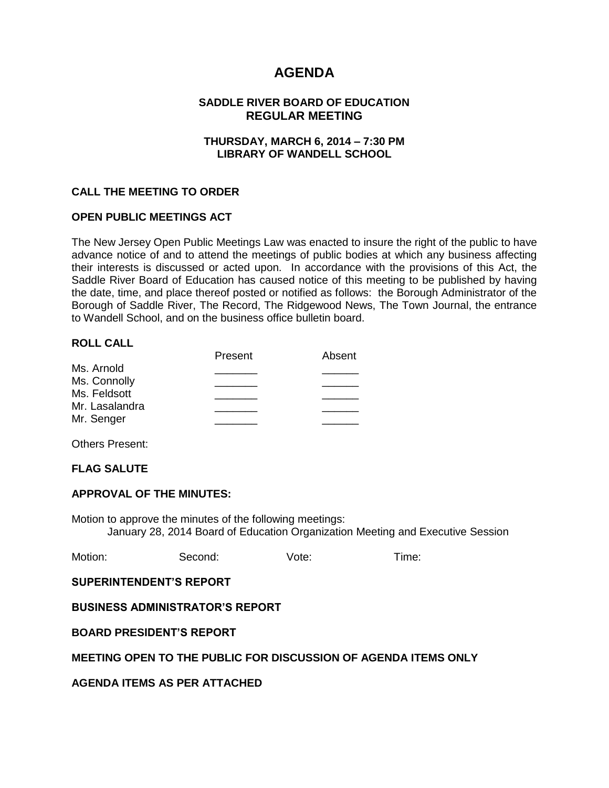# **AGENDA**

### **SADDLE RIVER BOARD OF EDUCATION REGULAR MEETING**

#### **THURSDAY, MARCH 6, 2014 – 7:30 PM LIBRARY OF WANDELL SCHOOL**

#### **CALL THE MEETING TO ORDER**

#### **OPEN PUBLIC MEETINGS ACT**

The New Jersey Open Public Meetings Law was enacted to insure the right of the public to have advance notice of and to attend the meetings of public bodies at which any business affecting their interests is discussed or acted upon. In accordance with the provisions of this Act, the Saddle River Board of Education has caused notice of this meeting to be published by having the date, time, and place thereof posted or notified as follows: the Borough Administrator of the Borough of Saddle River, The Record, The Ridgewood News, The Town Journal, the entrance to Wandell School, and on the business office bulletin board.

#### **ROLL CALL**

| Present | Absent |
|---------|--------|
|         |        |
|         |        |
|         |        |
|         |        |
|         |        |
|         |        |

Others Present:

#### **FLAG SALUTE**

#### **APPROVAL OF THE MINUTES:**

Motion to approve the minutes of the following meetings: January 28, 2014 Board of Education Organization Meeting and Executive Session

| Motion: | Second: | Vote: | l ime: |
|---------|---------|-------|--------|
|         |         |       |        |

#### **SUPERINTENDENT'S REPORT**

#### **BUSINESS ADMINISTRATOR'S REPORT**

**BOARD PRESIDENT'S REPORT**

# **MEETING OPEN TO THE PUBLIC FOR DISCUSSION OF AGENDA ITEMS ONLY**

**AGENDA ITEMS AS PER ATTACHED**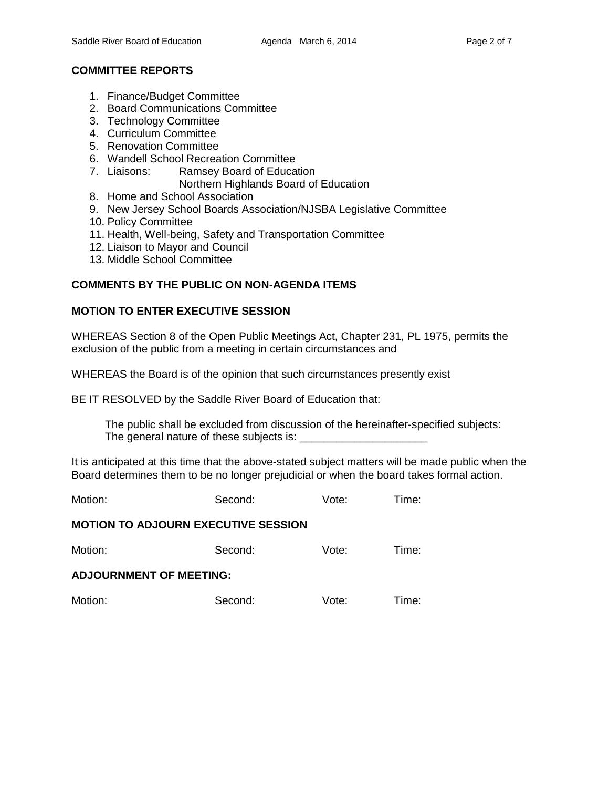# **COMMITTEE REPORTS**

- 1. Finance/Budget Committee
- 2. Board Communications Committee
- 3. Technology Committee
- 4. Curriculum Committee
- 5. Renovation Committee
- 6. Wandell School Recreation Committee
- 7. Liaisons: Ramsey Board of Education
	- Northern Highlands Board of Education
- 8. Home and School Association
- 9. New Jersey School Boards Association/NJSBA Legislative Committee
- 10. Policy Committee
- 11. Health, Well-being, Safety and Transportation Committee
- 12. Liaison to Mayor and Council
- 13. Middle School Committee

# **COMMENTS BY THE PUBLIC ON NON-AGENDA ITEMS**

# **MOTION TO ENTER EXECUTIVE SESSION**

WHEREAS Section 8 of the Open Public Meetings Act, Chapter 231, PL 1975, permits the exclusion of the public from a meeting in certain circumstances and

WHEREAS the Board is of the opinion that such circumstances presently exist

BE IT RESOLVED by the Saddle River Board of Education that:

 The public shall be excluded from discussion of the hereinafter-specified subjects: The general nature of these subjects is: \_\_\_\_\_\_\_\_\_\_\_\_\_\_\_\_\_\_\_\_\_

It is anticipated at this time that the above-stated subject matters will be made public when the Board determines them to be no longer prejudicial or when the board takes formal action.

Motion: Second: Vote: Time:

# **MOTION TO ADJOURN EXECUTIVE SESSION**

Motion: Second: Vote: Time:

#### **ADJOURNMENT OF MEETING:**

Motion: Second: Vote: Time: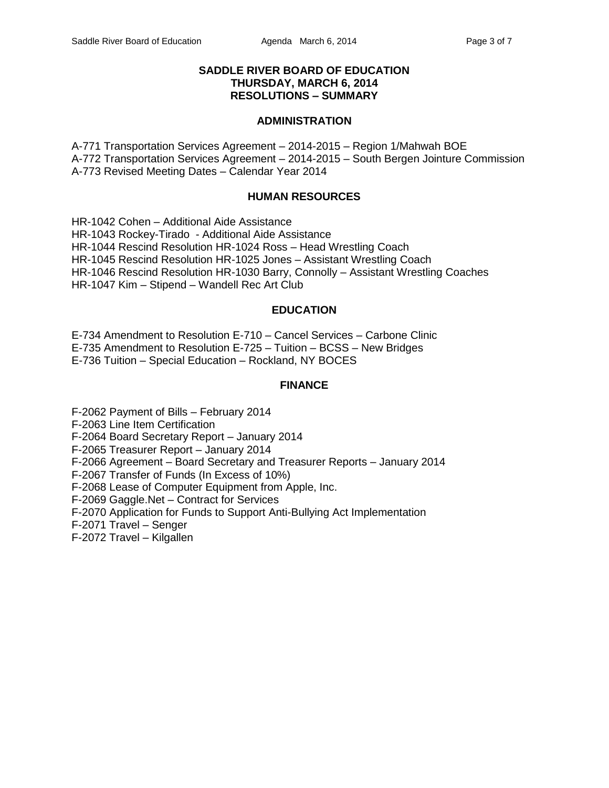#### **SADDLE RIVER BOARD OF EDUCATION THURSDAY, MARCH 6, 2014 RESOLUTIONS – SUMMARY**

#### **ADMINISTRATION**

A-771 Transportation Services Agreement – 2014-2015 – Region 1/Mahwah BOE A-772 Transportation Services Agreement – 2014-2015 – South Bergen Jointure Commission A-773 Revised Meeting Dates – Calendar Year 2014

#### **HUMAN RESOURCES**

HR-1042 Cohen – Additional Aide Assistance HR-1043 Rockey-Tirado - Additional Aide Assistance HR-1044 Rescind Resolution HR-1024 Ross – Head Wrestling Coach HR-1045 Rescind Resolution HR-1025 Jones – Assistant Wrestling Coach HR-1046 Rescind Resolution HR-1030 Barry, Connolly – Assistant Wrestling Coaches HR-1047 Kim – Stipend – Wandell Rec Art Club

#### **EDUCATION**

E-734 Amendment to Resolution E-710 – Cancel Services – Carbone Clinic

E-735 Amendment to Resolution E-725 – Tuition – BCSS – New Bridges

E-736 Tuition – Special Education – Rockland, NY BOCES

#### **FINANCE**

F-2062 Payment of Bills – February 2014

F-2063 Line Item Certification

F-2064 Board Secretary Report – January 2014

F-2065 Treasurer Report – January 2014

F-2066 Agreement – Board Secretary and Treasurer Reports – January 2014

F-2067 Transfer of Funds (In Excess of 10%)

F-2068 Lease of Computer Equipment from Apple, Inc.

F-2069 Gaggle.Net – Contract for Services

F-2070 Application for Funds to Support Anti-Bullying Act Implementation

F-2071 Travel – Senger

F-2072 Travel – Kilgallen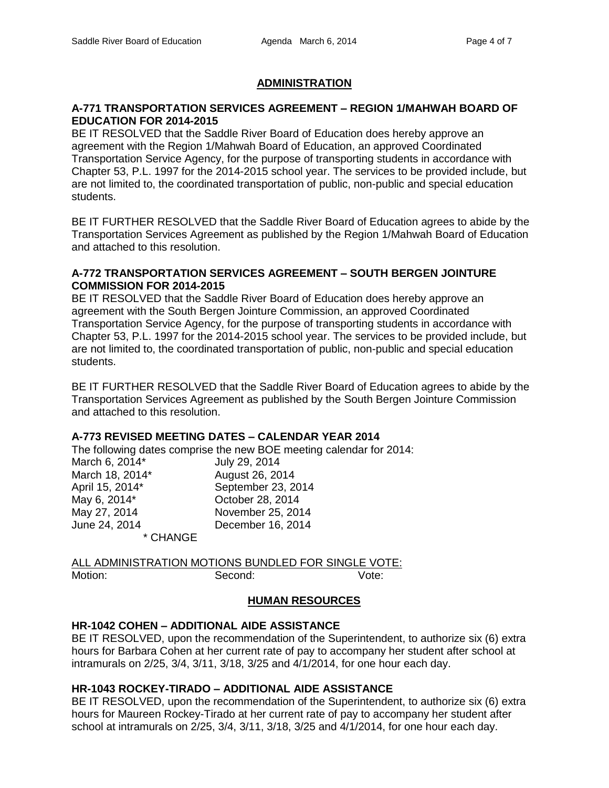### **ADMINISTRATION**

#### **A-771 TRANSPORTATION SERVICES AGREEMENT – REGION 1/MAHWAH BOARD OF EDUCATION FOR 2014-2015**

BE IT RESOLVED that the Saddle River Board of Education does hereby approve an agreement with the Region 1/Mahwah Board of Education, an approved Coordinated Transportation Service Agency, for the purpose of transporting students in accordance with Chapter 53, P.L. 1997 for the 2014-2015 school year. The services to be provided include, but are not limited to, the coordinated transportation of public, non-public and special education students.

BE IT FURTHER RESOLVED that the Saddle River Board of Education agrees to abide by the Transportation Services Agreement as published by the Region 1/Mahwah Board of Education and attached to this resolution.

#### **A-772 TRANSPORTATION SERVICES AGREEMENT – SOUTH BERGEN JOINTURE COMMISSION FOR 2014-2015**

BE IT RESOLVED that the Saddle River Board of Education does hereby approve an agreement with the South Bergen Jointure Commission, an approved Coordinated Transportation Service Agency, for the purpose of transporting students in accordance with Chapter 53, P.L. 1997 for the 2014-2015 school year. The services to be provided include, but are not limited to, the coordinated transportation of public, non-public and special education students.

BE IT FURTHER RESOLVED that the Saddle River Board of Education agrees to abide by the Transportation Services Agreement as published by the South Bergen Jointure Commission and attached to this resolution.

#### **A-773 REVISED MEETING DATES – CALENDAR YEAR 2014**

The following dates comprise the new BOE meeting calendar for 2014: March 6, 2014<sup>\*</sup> July 29, 2014 March 18, 2014<sup>\*</sup> August 26, 2014 April 15, 2014\* September 23, 2014 May 6, 2014<sup>\*</sup> Corober 28, 2014 May 27, 2014 November 25, 2014 June 24, 2014 December 16, 2014 \* CHANGE

ALL ADMINISTRATION MOTIONS BUNDLED FOR SINGLE VOTE: Motion: Second: Second: Vote:

# **HUMAN RESOURCES**

# **HR-1042 COHEN – ADDITIONAL AIDE ASSISTANCE**

BE IT RESOLVED, upon the recommendation of the Superintendent, to authorize six (6) extra hours for Barbara Cohen at her current rate of pay to accompany her student after school at intramurals on 2/25, 3/4, 3/11, 3/18, 3/25 and 4/1/2014, for one hour each day.

#### **HR-1043 ROCKEY-TIRADO – ADDITIONAL AIDE ASSISTANCE**

BE IT RESOLVED, upon the recommendation of the Superintendent, to authorize six (6) extra hours for Maureen Rockey-Tirado at her current rate of pay to accompany her student after school at intramurals on 2/25, 3/4, 3/11, 3/18, 3/25 and 4/1/2014, for one hour each day.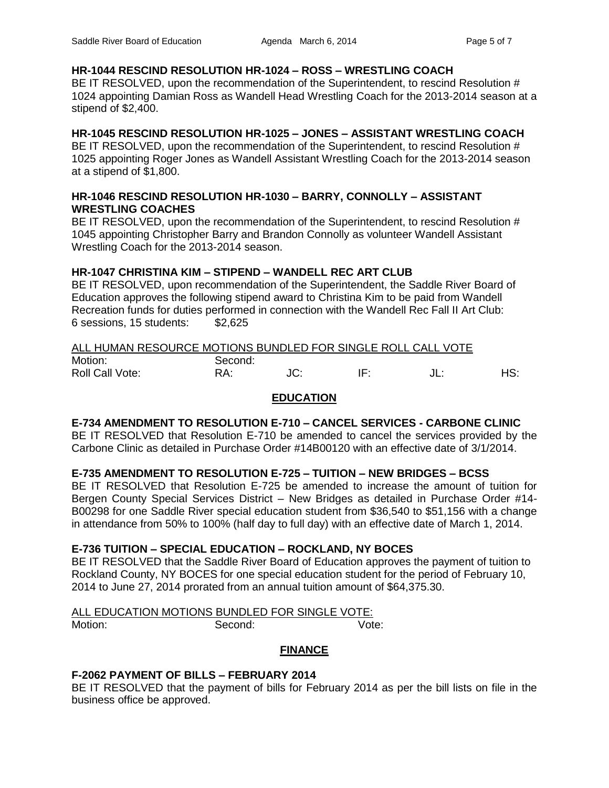# **HR-1044 RESCIND RESOLUTION HR-1024 – ROSS – WRESTLING COACH**

BE IT RESOLVED, upon the recommendation of the Superintendent, to rescind Resolution # 1024 appointing Damian Ross as Wandell Head Wrestling Coach for the 2013-2014 season at a stipend of \$2,400.

# **HR-1045 RESCIND RESOLUTION HR-1025 – JONES – ASSISTANT WRESTLING COACH**

BE IT RESOLVED, upon the recommendation of the Superintendent, to rescind Resolution # 1025 appointing Roger Jones as Wandell Assistant Wrestling Coach for the 2013-2014 season at a stipend of \$1,800.

# **HR-1046 RESCIND RESOLUTION HR-1030 – BARRY, CONNOLLY – ASSISTANT WRESTLING COACHES**

BE IT RESOLVED, upon the recommendation of the Superintendent, to rescind Resolution # 1045 appointing Christopher Barry and Brandon Connolly as volunteer Wandell Assistant Wrestling Coach for the 2013-2014 season.

# **HR-1047 CHRISTINA KIM – STIPEND – WANDELL REC ART CLUB**

BE IT RESOLVED, upon recommendation of the Superintendent, the Saddle River Board of Education approves the following stipend award to Christina Kim to be paid from Wandell Recreation funds for duties performed in connection with the Wandell Rec Fall II Art Club: 6 sessions, 15 students: \$2,625

# ALL HUMAN RESOURCE MOTIONS BUNDLED FOR SINGLE ROLL CALL VOTE Motion: Second:

Roll Call Vote: **RA:** JC: IF: JL: HS: HS:

# **EDUCATION**

# **E-734 AMENDMENT TO RESOLUTION E-710 – CANCEL SERVICES - CARBONE CLINIC**

BE IT RESOLVED that Resolution E-710 be amended to cancel the services provided by the Carbone Clinic as detailed in Purchase Order #14B00120 with an effective date of 3/1/2014.

# **E-735 AMENDMENT TO RESOLUTION E-725 – TUITION – NEW BRIDGES – BCSS**

BE IT RESOLVED that Resolution E-725 be amended to increase the amount of tuition for Bergen County Special Services District – New Bridges as detailed in Purchase Order #14- B00298 for one Saddle River special education student from \$36,540 to \$51,156 with a change in attendance from 50% to 100% (half day to full day) with an effective date of March 1, 2014.

# **E-736 TUITION – SPECIAL EDUCATION – ROCKLAND, NY BOCES**

BE IT RESOLVED that the Saddle River Board of Education approves the payment of tuition to Rockland County, NY BOCES for one special education student for the period of February 10, 2014 to June 27, 2014 prorated from an annual tuition amount of \$64,375.30.

# ALL EDUCATION MOTIONS BUNDLED FOR SINGLE VOTE:

# Motion: Second: Vote:

**FINANCE**

# **F-2062 PAYMENT OF BILLS – FEBRUARY 2014**

BE IT RESOLVED that the payment of bills for February 2014 as per the bill lists on file in the business office be approved.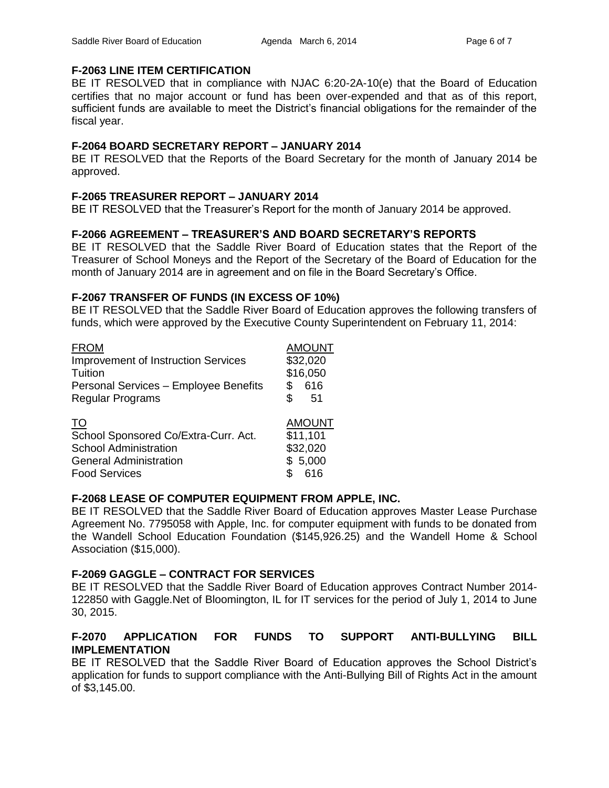# **F-2063 LINE ITEM CERTIFICATION**

BE IT RESOLVED that in compliance with NJAC 6:20-2A-10(e) that the Board of Education certifies that no major account or fund has been over-expended and that as of this report, sufficient funds are available to meet the District's financial obligations for the remainder of the fiscal year.

# **F-2064 BOARD SECRETARY REPORT – JANUARY 2014**

BE IT RESOLVED that the Reports of the Board Secretary for the month of January 2014 be approved.

# **F-2065 TREASURER REPORT – JANUARY 2014**

BE IT RESOLVED that the Treasurer's Report for the month of January 2014 be approved.

# **F-2066 AGREEMENT – TREASURER'S AND BOARD SECRETARY'S REPORTS**

BE IT RESOLVED that the Saddle River Board of Education states that the Report of the Treasurer of School Moneys and the Report of the Secretary of the Board of Education for the month of January 2014 are in agreement and on file in the Board Secretary's Office.

# **F-2067 TRANSFER OF FUNDS (IN EXCESS OF 10%)**

BE IT RESOLVED that the Saddle River Board of Education approves the following transfers of funds, which were approved by the Executive County Superintendent on February 11, 2014:

| <b>FROM</b>                                | <b>AMOUNT</b> |
|--------------------------------------------|---------------|
| <b>Improvement of Instruction Services</b> | \$32,020      |
| Tuition                                    | \$16,050      |
| Personal Services - Employee Benefits      | \$<br>616     |
| <b>Regular Programs</b>                    | \$.<br>.51    |
| TO                                         | <b>AMOUNT</b> |
| School Sponsored Co/Extra-Curr. Act.       | \$11,101      |
| <b>School Administration</b>               | \$32,020      |
| <b>General Administration</b>              | \$5,000       |
| <b>Food Services</b>                       | 616           |

# **F-2068 LEASE OF COMPUTER EQUIPMENT FROM APPLE, INC.**

BE IT RESOLVED that the Saddle River Board of Education approves Master Lease Purchase Agreement No. 7795058 with Apple, Inc. for computer equipment with funds to be donated from the Wandell School Education Foundation (\$145,926.25) and the Wandell Home & School Association (\$15,000).

# **F-2069 GAGGLE – CONTRACT FOR SERVICES**

BE IT RESOLVED that the Saddle River Board of Education approves Contract Number 2014- 122850 with Gaggle.Net of Bloomington, IL for IT services for the period of July 1, 2014 to June 30, 2015.

# **F-2070 APPLICATION FOR FUNDS TO SUPPORT ANTI-BULLYING BILL IMPLEMENTATION**

BE IT RESOLVED that the Saddle River Board of Education approves the School District's application for funds to support compliance with the Anti-Bullying Bill of Rights Act in the amount of \$3,145.00.